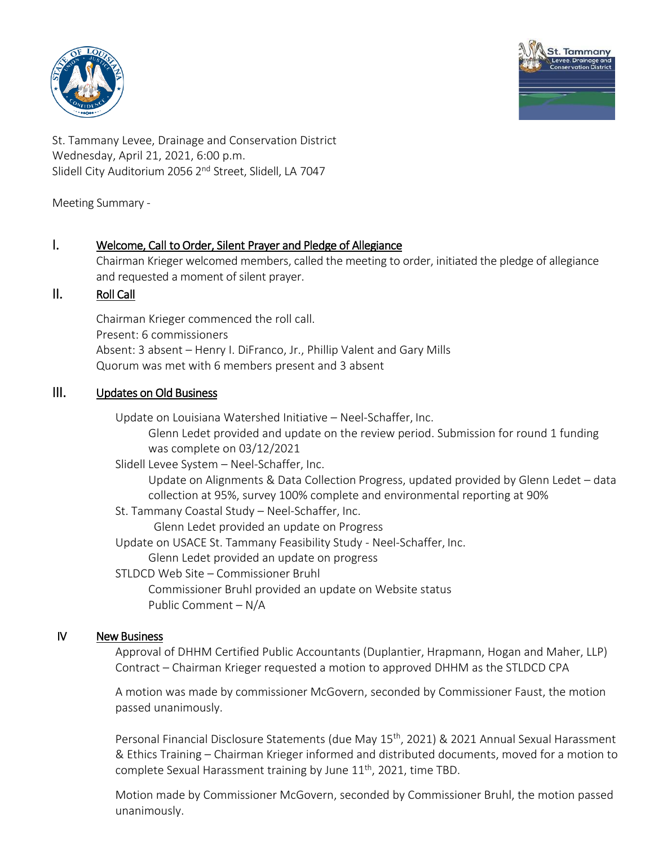



St. Tammany Levee, Drainage and Conservation District Wednesday, April 21, 2021, 6:00 p.m. Slidell City Auditorium 2056 2<sup>nd</sup> Street, Slidell, LA 7047

Meeting Summary -

## I. Welcome, Call to Order, Silent Prayer and Pledge of Allegiance

Chairman Krieger welcomed members, called the meeting to order, initiated the pledge of allegiance and requested a moment of silent prayer.

## II. Roll Call

Chairman Krieger commenced the roll call. Present: 6 commissioners Absent: 3 absent – Henry I. DiFranco, Jr., Phillip Valent and Gary Mills Quorum was met with 6 members present and 3 absent

## III. Updates on Old Business

Update on Louisiana Watershed Initiative – Neel-Schaffer, Inc.

Glenn Ledet provided and update on the review period. Submission for round 1 funding was complete on 03/12/2021

Slidell Levee System – Neel-Schaffer, Inc.

Update on Alignments & Data Collection Progress, updated provided by Glenn Ledet – data collection at 95%, survey 100% complete and environmental reporting at 90%

St. Tammany Coastal Study – Neel-Schaffer, Inc.

Glenn Ledet provided an update on Progress

Update on USACE St. Tammany Feasibility Study - Neel-Schaffer, Inc.

Glenn Ledet provided an update on progress

STLDCD Web Site – Commissioner Bruhl

Commissioner Bruhl provided an update on Website status Public Comment – N/A

## IV New Business

Approval of DHHM Certified Public Accountants (Duplantier, Hrapmann, Hogan and Maher, LLP) Contract – Chairman Krieger requested a motion to approved DHHM as the STLDCD CPA

A motion was made by commissioner McGovern, seconded by Commissioner Faust, the motion passed unanimously.

Personal Financial Disclosure Statements (due May 15<sup>th</sup>, 2021) & 2021 Annual Sexual Harassment & Ethics Training – Chairman Krieger informed and distributed documents, moved for a motion to complete Sexual Harassment training by June  $11<sup>th</sup>$ , 2021, time TBD.

Motion made by Commissioner McGovern, seconded by Commissioner Bruhl, the motion passed unanimously.